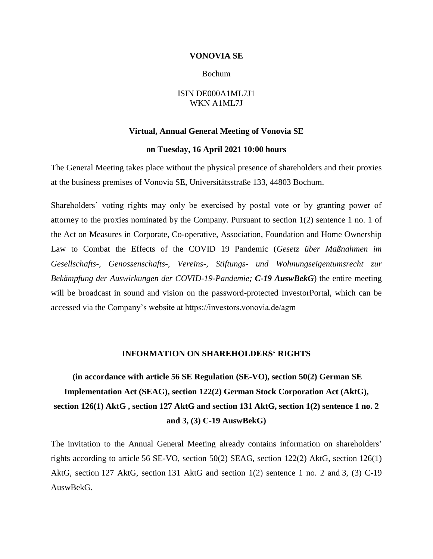### **VONOVIA SE**

### Bochum

### ISIN DE000A1ML7J1 WKN A1ML7J

#### **Virtual, Annual General Meeting of Vonovia SE**

### **on Tuesday, 16 April 2021 10:00 hours**

The General Meeting takes place without the physical presence of shareholders and their proxies at the business premises of Vonovia SE, Universitätsstraße 133, 44803 Bochum.

Shareholders' voting rights may only be exercised by postal vote or by granting power of attorney to the proxies nominated by the Company. Pursuant to section 1(2) sentence 1 no. 1 of the Act on Measures in Corporate, Co-operative, Association, Foundation and Home Ownership Law to Combat the Effects of the COVID 19 Pandemic (*Gesetz über Maßnahmen im Gesellschafts-, Genossenschafts-, Vereins-, Stiftungs- und Wohnungseigentumsrecht zur Bekämpfung der Auswirkungen der COVID-19-Pandemie; C-19 AuswBekG*) the entire meeting will be broadcast in sound and vision on the password-protected InvestorPortal, which can be accessed via the Company's website at https://investors.vonovia.de/agm

### **INFORMATION ON SHAREHOLDERS' RIGHTS**

**(in accordance with article 56 SE Regulation (SE-VO), section 50(2) German SE Implementation Act (SEAG), section 122(2) German Stock Corporation Act (AktG), section 126(1) AktG , section 127 AktG and section 131 AktG, section 1(2) sentence 1 no. 2 and 3, (3) C-19 AuswBekG)**

The invitation to the Annual General Meeting already contains information on shareholders' rights according to article 56 SE-VO, section 50(2) SEAG, section 122(2) AktG, section 126(1) AktG, section 127 AktG, section 131 AktG and section 1(2) sentence 1 no. 2 and 3, (3) C-19 AuswBekG.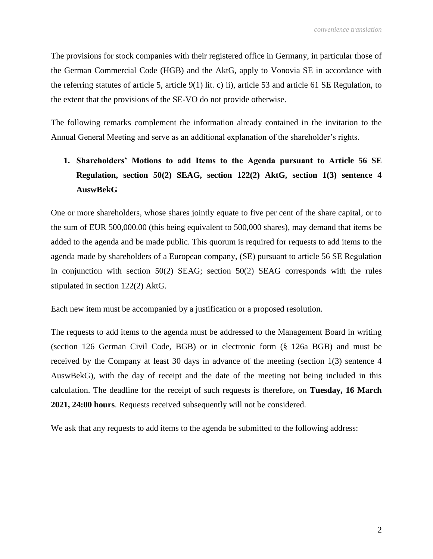The provisions for stock companies with their registered office in Germany, in particular those of the German Commercial Code (HGB) and the AktG, apply to Vonovia SE in accordance with the referring statutes of article 5, article 9(1) lit. c) ii), article 53 and article 61 SE Regulation, to the extent that the provisions of the SE-VO do not provide otherwise.

The following remarks complement the information already contained in the invitation to the Annual General Meeting and serve as an additional explanation of the shareholder's rights.

# **1. Shareholders' Motions to add Items to the Agenda pursuant to Article 56 SE Regulation, section 50(2) SEAG, section 122(2) AktG, section 1(3) sentence 4 AuswBekG**

One or more shareholders, whose shares jointly equate to five per cent of the share capital, or to the sum of EUR 500,000.00 (this being equivalent to 500,000 shares), may demand that items be added to the agenda and be made public. This quorum is required for requests to add items to the agenda made by shareholders of a European company, (SE) pursuant to article 56 SE Regulation in conjunction with section 50(2) SEAG; section 50(2) SEAG corresponds with the rules stipulated in section 122(2) AktG.

Each new item must be accompanied by a justification or a proposed resolution.

The requests to add items to the agenda must be addressed to the Management Board in writing (section 126 German Civil Code, BGB) or in electronic form (§ 126a BGB) and must be received by the Company at least 30 days in advance of the meeting (section 1(3) sentence 4 AuswBekG), with the day of receipt and the date of the meeting not being included in this calculation. The deadline for the receipt of such requests is therefore, on **Tuesday, 16 March 2021, 24:00 hours**. Requests received subsequently will not be considered.

We ask that any requests to add items to the agenda be submitted to the following address: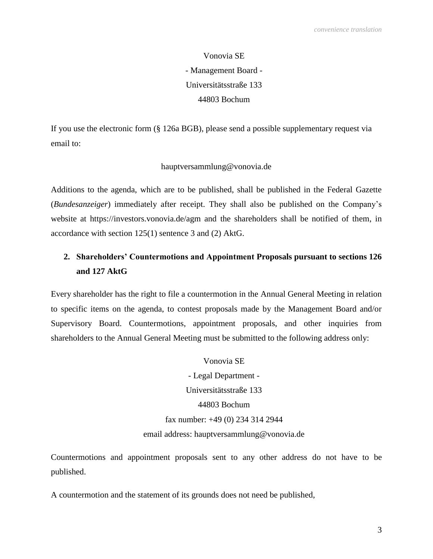Vonovia SE - Management Board - Universitätsstraße 133 44803 Bochum

If you use the electronic form (§ 126a BGB), please send a possible supplementary request via email to:

## hauptversammlung@vonovia.de

Additions to the agenda, which are to be published, shall be published in the Federal Gazette (*Bundesanzeiger*) immediately after receipt. They shall also be published on the Company's website at https://investors.vonovia.de/agm and the shareholders shall be notified of them, in accordance with section 125(1) sentence 3 and (2) AktG.

# **2. Shareholders' Countermotions and Appointment Proposals pursuant to sections 126 and 127 AktG**

Every shareholder has the right to file a countermotion in the Annual General Meeting in relation to specific items on the agenda, to contest proposals made by the Management Board and/or Supervisory Board. Countermotions, appointment proposals, and other inquiries from shareholders to the Annual General Meeting must be submitted to the following address only:

> Vonovia SE - Legal Department - Universitätsstraße 133 44803 Bochum fax number: +49 (0) 234 314 2944 email address: hauptversammlung@vonovia.de

Countermotions and appointment proposals sent to any other address do not have to be published.

A countermotion and the statement of its grounds does not need be published,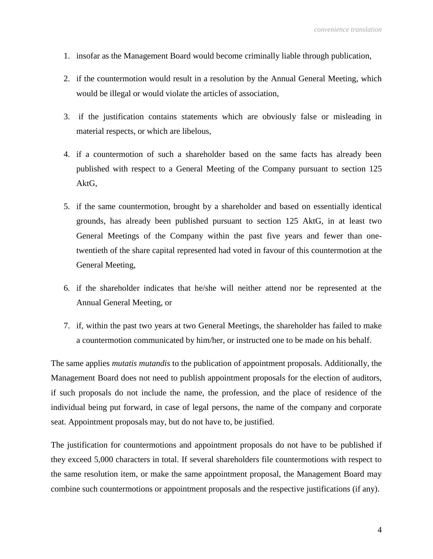- 1. insofar as the Management Board would become criminally liable through publication,
- 2. if the countermotion would result in a resolution by the Annual General Meeting, which would be illegal or would violate the articles of association,
- 3. if the justification contains statements which are obviously false or misleading in material respects, or which are libelous,
- 4. if a countermotion of such a shareholder based on the same facts has already been published with respect to a General Meeting of the Company pursuant to section 125 AktG,
- 5. if the same countermotion, brought by a shareholder and based on essentially identical grounds, has already been published pursuant to section 125 AktG, in at least two General Meetings of the Company within the past five years and fewer than onetwentieth of the share capital represented had voted in favour of this countermotion at the General Meeting,
- 6. if the shareholder indicates that he/she will neither attend nor be represented at the Annual General Meeting, or
- 7. if, within the past two years at two General Meetings, the shareholder has failed to make a countermotion communicated by him/her, or instructed one to be made on his behalf.

The same applies *mutatis mutandis* to the publication of appointment proposals. Additionally, the Management Board does not need to publish appointment proposals for the election of auditors, if such proposals do not include the name, the profession, and the place of residence of the individual being put forward, in case of legal persons, the name of the company and corporate seat. Appointment proposals may, but do not have to, be justified.

The justification for countermotions and appointment proposals do not have to be published if they exceed 5,000 characters in total. If several shareholders file countermotions with respect to the same resolution item, or make the same appointment proposal, the Management Board may combine such countermotions or appointment proposals and the respective justifications (if any).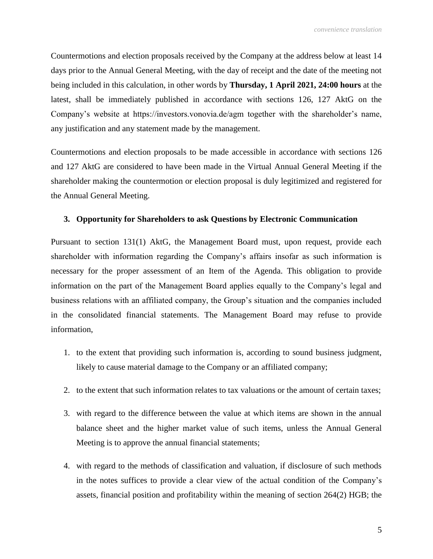Countermotions and election proposals received by the Company at the address below at least 14 days prior to the Annual General Meeting, with the day of receipt and the date of the meeting not being included in this calculation, in other words by **Thursday, 1 April 2021, 24:00 hours** at the latest, shall be immediately published in accordance with sections 126, 127 AktG on the Company's website at https://investors.vonovia.de/agm together with the shareholder's name, any justification and any statement made by the management.

Countermotions and election proposals to be made accessible in accordance with sections 126 and 127 AktG are considered to have been made in the Virtual Annual General Meeting if the shareholder making the countermotion or election proposal is duly legitimized and registered for the Annual General Meeting.

## **3. Opportunity for Shareholders to ask Questions by Electronic Communication**

Pursuant to section 131(1) AktG, the Management Board must, upon request, provide each shareholder with information regarding the Company's affairs insofar as such information is necessary for the proper assessment of an Item of the Agenda. This obligation to provide information on the part of the Management Board applies equally to the Company's legal and business relations with an affiliated company, the Group's situation and the companies included in the consolidated financial statements. The Management Board may refuse to provide information,

- 1. to the extent that providing such information is, according to sound business judgment, likely to cause material damage to the Company or an affiliated company;
- 2. to the extent that such information relates to tax valuations or the amount of certain taxes;
- 3. with regard to the difference between the value at which items are shown in the annual balance sheet and the higher market value of such items, unless the Annual General Meeting is to approve the annual financial statements;
- 4. with regard to the methods of classification and valuation, if disclosure of such methods in the notes suffices to provide a clear view of the actual condition of the Company's assets, financial position and profitability within the meaning of section 264(2) HGB; the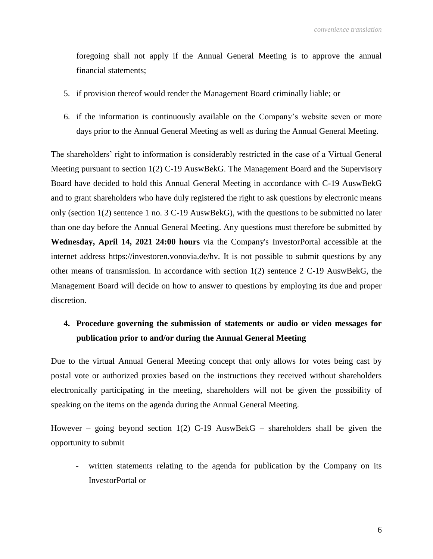foregoing shall not apply if the Annual General Meeting is to approve the annual financial statements;

- 5. if provision thereof would render the Management Board criminally liable; or
- 6. if the information is continuously available on the Company's website seven or more days prior to the Annual General Meeting as well as during the Annual General Meeting.

The shareholders' right to information is considerably restricted in the case of a Virtual General Meeting pursuant to section 1(2) C-19 AuswBekG. The Management Board and the Supervisory Board have decided to hold this Annual General Meeting in accordance with C-19 AuswBekG and to grant shareholders who have duly registered the right to ask questions by electronic means only (section 1(2) sentence 1 no. 3 C-19 AuswBekG), with the questions to be submitted no later than one day before the Annual General Meeting. Any questions must therefore be submitted by **Wednesday, April 14, 2021 24:00 hours** via the Company's InvestorPortal accessible at the internet address https://investoren.vonovia.de/hv. It is not possible to submit questions by any other means of transmission. In accordance with section 1(2) sentence 2 C-19 AuswBekG, the Management Board will decide on how to answer to questions by employing its due and proper discretion.

## **4. Procedure governing the submission of statements or audio or video messages for publication prior to and/or during the Annual General Meeting**

Due to the virtual Annual General Meeting concept that only allows for votes being cast by postal vote or authorized proxies based on the instructions they received without shareholders electronically participating in the meeting, shareholders will not be given the possibility of speaking on the items on the agenda during the Annual General Meeting.

However – going beyond section  $1(2)$  C-19 AuswBekG – shareholders shall be given the opportunity to submit

- written statements relating to the agenda for publication by the Company on its InvestorPortal or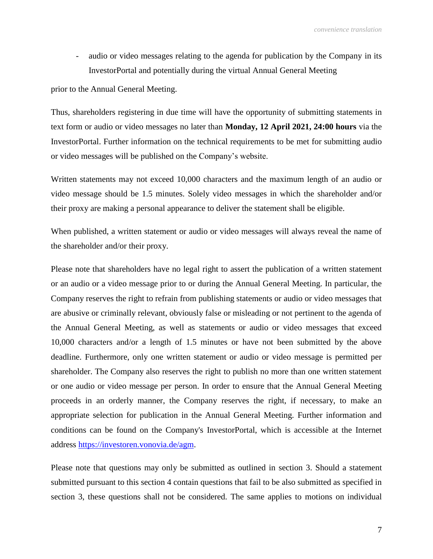- audio or video messages relating to the agenda for publication by the Company in its InvestorPortal and potentially during the virtual Annual General Meeting

prior to the Annual General Meeting.

Thus, shareholders registering in due time will have the opportunity of submitting statements in text form or audio or video messages no later than **Monday, 12 April 2021, 24:00 hours** via the InvestorPortal. Further information on the technical requirements to be met for submitting audio or video messages will be published on the Company's website.

Written statements may not exceed 10,000 characters and the maximum length of an audio or video message should be 1.5 minutes. Solely video messages in which the shareholder and/or their proxy are making a personal appearance to deliver the statement shall be eligible.

When published, a written statement or audio or video messages will always reveal the name of the shareholder and/or their proxy.

Please note that shareholders have no legal right to assert the publication of a written statement or an audio or a video message prior to or during the Annual General Meeting. In particular, the Company reserves the right to refrain from publishing statements or audio or video messages that are abusive or criminally relevant, obviously false or misleading or not pertinent to the agenda of the Annual General Meeting, as well as statements or audio or video messages that exceed 10,000 characters and/or a length of 1.5 minutes or have not been submitted by the above deadline. Furthermore, only one written statement or audio or video message is permitted per shareholder. The Company also reserves the right to publish no more than one written statement or one audio or video message per person. In order to ensure that the Annual General Meeting proceeds in an orderly manner, the Company reserves the right, if necessary, to make an appropriate selection for publication in the Annual General Meeting. Further information and conditions can be found on the Company's InvestorPortal, which is accessible at the Internet address [https://investoren.vonovia.de/agm.](https://investoren.vonovia.de/agm)

Please note that questions may only be submitted as outlined in section 3. Should a statement submitted pursuant to this section 4 contain questions that fail to be also submitted as specified in section 3, these questions shall not be considered. The same applies to motions on individual